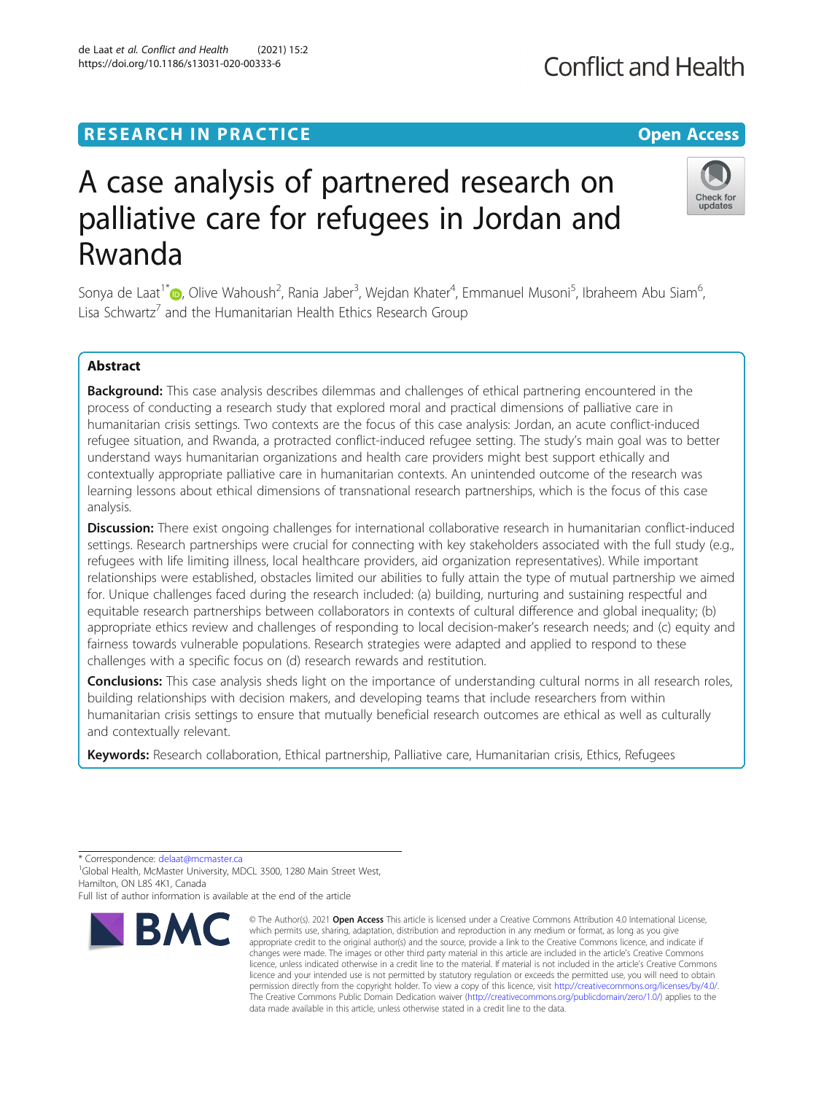## **RESEARCH IN PRACTICE CONSUMING THE OPEN ACCESS**

# A case analysis of partnered research on palliative care for refugees in Jordan and Rwanda

Sonya de Laat<sup>1\*</sup> $\bm{\odot}$ [,](http://orcid.org/0000-0002-8203-3249) Olive Wahoush<sup>2</sup>, Rania Jaber<sup>3</sup>, Wejdan Khater<sup>4</sup>, Emmanuel Musoni<sup>5</sup>, Ibraheem Abu Siam<sup>6</sup> , Lisa Schwartz<sup>7</sup> and the Humanitarian Health Ethics Research Group

## Abstract

Background: This case analysis describes dilemmas and challenges of ethical partnering encountered in the process of conducting a research study that explored moral and practical dimensions of palliative care in humanitarian crisis settings. Two contexts are the focus of this case analysis: Jordan, an acute conflict-induced refugee situation, and Rwanda, a protracted conflict-induced refugee setting. The study's main goal was to better understand ways humanitarian organizations and health care providers might best support ethically and contextually appropriate palliative care in humanitarian contexts. An unintended outcome of the research was learning lessons about ethical dimensions of transnational research partnerships, which is the focus of this case analysis.

Discussion: There exist ongoing challenges for international collaborative research in humanitarian conflict-induced settings. Research partnerships were crucial for connecting with key stakeholders associated with the full study (e.g., refugees with life limiting illness, local healthcare providers, aid organization representatives). While important relationships were established, obstacles limited our abilities to fully attain the type of mutual partnership we aimed for. Unique challenges faced during the research included: (a) building, nurturing and sustaining respectful and equitable research partnerships between collaborators in contexts of cultural difference and global inequality; (b) appropriate ethics review and challenges of responding to local decision-maker's research needs; and (c) equity and fairness towards vulnerable populations. Research strategies were adapted and applied to respond to these challenges with a specific focus on (d) research rewards and restitution.

**Conclusions:** This case analysis sheds light on the importance of understanding cultural norms in all research roles, building relationships with decision makers, and developing teams that include researchers from within humanitarian crisis settings to ensure that mutually beneficial research outcomes are ethical as well as culturally and contextually relevant.

Keywords: Research collaboration, Ethical partnership, Palliative care, Humanitarian crisis, Ethics, Refugees

\* Correspondence: [delaat@mcmaster.ca](mailto:delaat@mcmaster.ca) <sup>1</sup>

**RMC** 

<sup>1</sup>Global Health, McMaster University, MDCL 3500, 1280 Main Street West, Hamilton, ON L8S 4K1, Canada

Full list of author information is available at the end of the article

© The Author(s), 2021 **Open Access** This article is licensed under a Creative Commons Attribution 4.0 International License, which permits use, sharing, adaptation, distribution and reproduction in any medium or format, as long as you give appropriate credit to the original author(s) and the source, provide a link to the Creative Commons licence, and indicate if





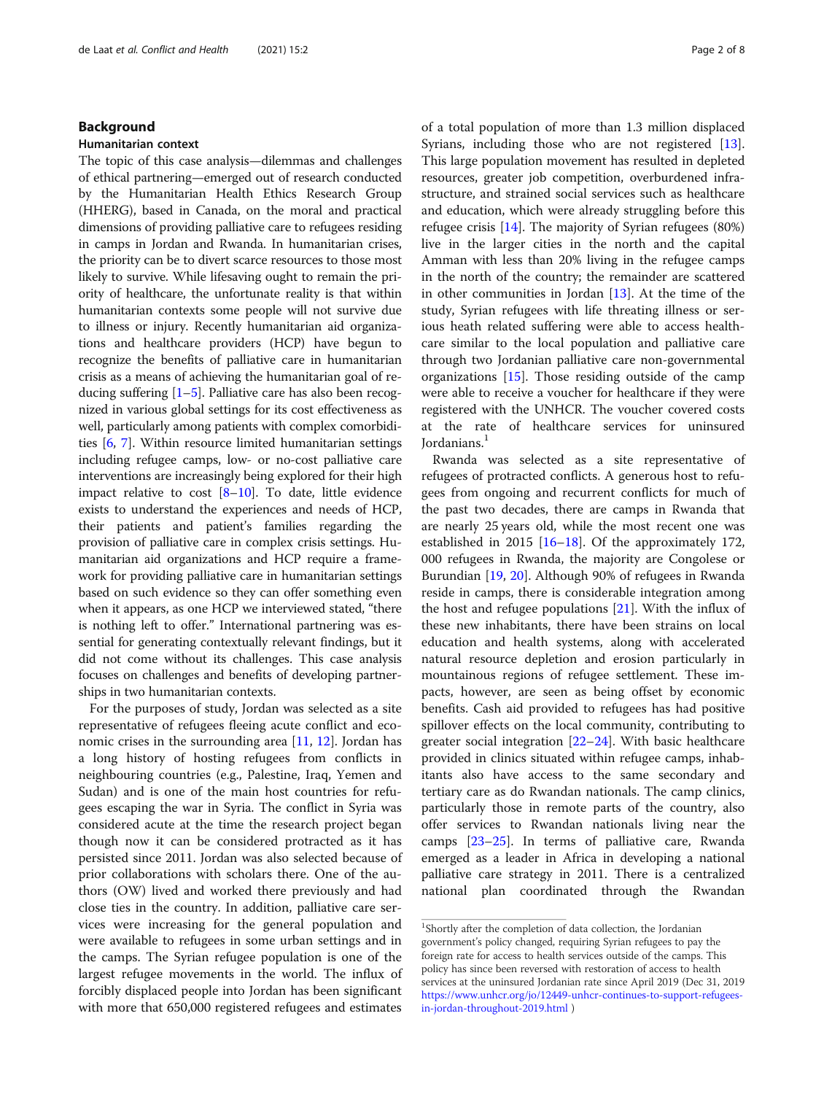## Background

## Humanitarian context

The topic of this case analysis—dilemmas and challenges of ethical partnering—emerged out of research conducted by the Humanitarian Health Ethics Research Group (HHERG), based in Canada, on the moral and practical dimensions of providing palliative care to refugees residing in camps in Jordan and Rwanda. In humanitarian crises, the priority can be to divert scarce resources to those most likely to survive. While lifesaving ought to remain the priority of healthcare, the unfortunate reality is that within humanitarian contexts some people will not survive due to illness or injury. Recently humanitarian aid organizations and healthcare providers (HCP) have begun to recognize the benefits of palliative care in humanitarian crisis as a means of achieving the humanitarian goal of reducing suffering [\[1](#page-6-0)–[5\]](#page-7-0). Palliative care has also been recognized in various global settings for its cost effectiveness as well, particularly among patients with complex comorbidities [\[6,](#page-7-0) [7](#page-7-0)]. Within resource limited humanitarian settings including refugee camps, low- or no-cost palliative care interventions are increasingly being explored for their high impact relative to cost  $[8-10]$  $[8-10]$  $[8-10]$ . To date, little evidence exists to understand the experiences and needs of HCP, their patients and patient's families regarding the provision of palliative care in complex crisis settings. Humanitarian aid organizations and HCP require a framework for providing palliative care in humanitarian settings based on such evidence so they can offer something even when it appears, as one HCP we interviewed stated, "there is nothing left to offer." International partnering was essential for generating contextually relevant findings, but it did not come without its challenges. This case analysis focuses on challenges and benefits of developing partnerships in two humanitarian contexts.

For the purposes of study, Jordan was selected as a site representative of refugees fleeing acute conflict and economic crises in the surrounding area [\[11,](#page-7-0) [12\]](#page-7-0). Jordan has a long history of hosting refugees from conflicts in neighbouring countries (e.g., Palestine, Iraq, Yemen and Sudan) and is one of the main host countries for refugees escaping the war in Syria. The conflict in Syria was considered acute at the time the research project began though now it can be considered protracted as it has persisted since 2011. Jordan was also selected because of prior collaborations with scholars there. One of the authors (OW) lived and worked there previously and had close ties in the country. In addition, palliative care services were increasing for the general population and were available to refugees in some urban settings and in the camps. The Syrian refugee population is one of the largest refugee movements in the world. The influx of forcibly displaced people into Jordan has been significant with more that 650,000 registered refugees and estimates

of a total population of more than 1.3 million displaced Syrians, including those who are not registered [\[13](#page-7-0)]. This large population movement has resulted in depleted resources, greater job competition, overburdened infrastructure, and strained social services such as healthcare and education, which were already struggling before this refugee crisis [[14](#page-7-0)]. The majority of Syrian refugees (80%) live in the larger cities in the north and the capital Amman with less than 20% living in the refugee camps in the north of the country; the remainder are scattered in other communities in Jordan [\[13](#page-7-0)]. At the time of the study, Syrian refugees with life threating illness or serious heath related suffering were able to access healthcare similar to the local population and palliative care through two Jordanian palliative care non-governmental organizations [[15\]](#page-7-0). Those residing outside of the camp were able to receive a voucher for healthcare if they were registered with the UNHCR. The voucher covered costs at the rate of healthcare services for uninsured Jordanians.<sup>1</sup>

Rwanda was selected as a site representative of refugees of protracted conflicts. A generous host to refugees from ongoing and recurrent conflicts for much of the past two decades, there are camps in Rwanda that are nearly 25 years old, while the most recent one was established in 2015  $[16–18]$  $[16–18]$  $[16–18]$  $[16–18]$  $[16–18]$ . Of the approximately 172, 000 refugees in Rwanda, the majority are Congolese or Burundian [[19,](#page-7-0) [20\]](#page-7-0). Although 90% of refugees in Rwanda reside in camps, there is considerable integration among the host and refugee populations  $[21]$  $[21]$ . With the influx of these new inhabitants, there have been strains on local education and health systems, along with accelerated natural resource depletion and erosion particularly in mountainous regions of refugee settlement. These impacts, however, are seen as being offset by economic benefits. Cash aid provided to refugees has had positive spillover effects on the local community, contributing to greater social integration [\[22](#page-7-0)–[24\]](#page-7-0). With basic healthcare provided in clinics situated within refugee camps, inhabitants also have access to the same secondary and tertiary care as do Rwandan nationals. The camp clinics, particularly those in remote parts of the country, also offer services to Rwandan nationals living near the camps [\[23](#page-7-0)–[25](#page-7-0)]. In terms of palliative care, Rwanda emerged as a leader in Africa in developing a national palliative care strategy in 2011. There is a centralized national plan coordinated through the Rwandan

<sup>&</sup>lt;sup>1</sup>Shortly after the completion of data collection, the Jordanian government's policy changed, requiring Syrian refugees to pay the foreign rate for access to health services outside of the camps. This policy has since been reversed with restoration of access to health services at the uninsured Jordanian rate since April 2019 (Dec 31, 2019 [https://www.unhcr.org/jo/12449-unhcr-continues-to-support-refugees](https://www.unhcr.org/jo/12449-unhcr-continues-to-support-refugees-in-jordan-throughout-2019.html%20)[in-jordan-throughout-2019.html](https://www.unhcr.org/jo/12449-unhcr-continues-to-support-refugees-in-jordan-throughout-2019.html%20) )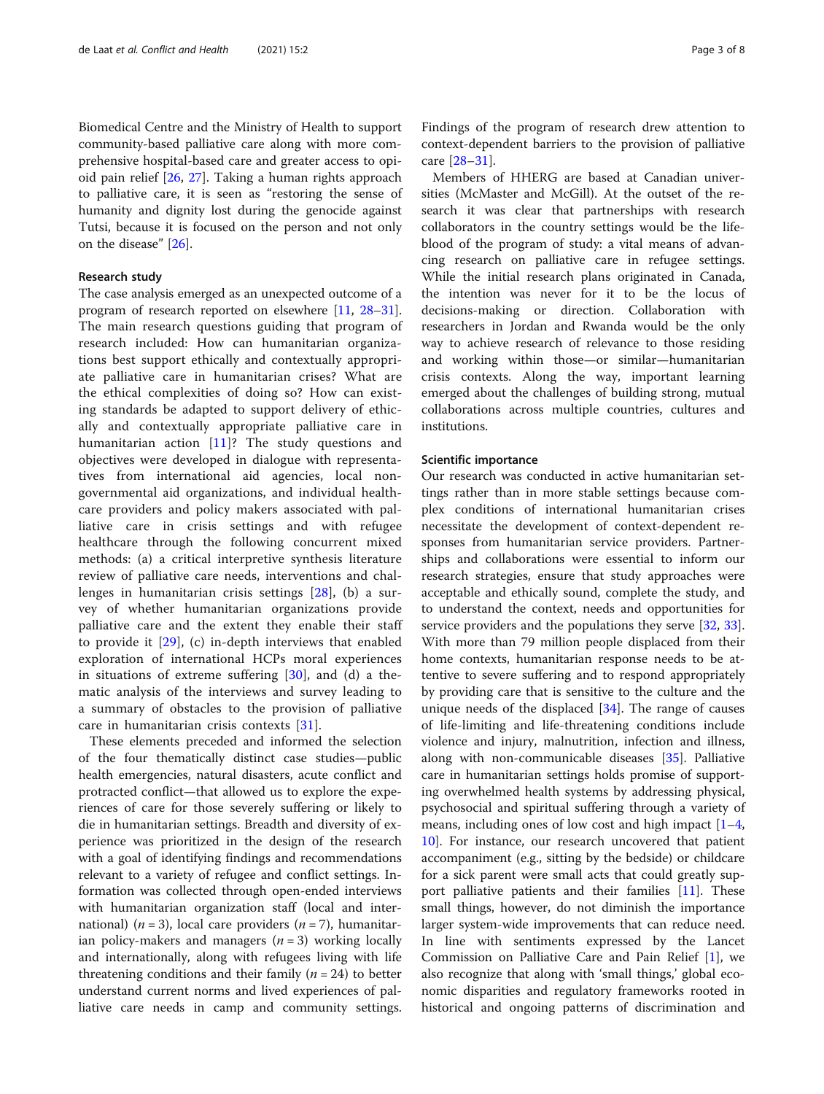Biomedical Centre and the Ministry of Health to support community-based palliative care along with more comprehensive hospital-based care and greater access to opioid pain relief [[26,](#page-7-0) [27\]](#page-7-0). Taking a human rights approach to palliative care, it is seen as "restoring the sense of humanity and dignity lost during the genocide against Tutsi, because it is focused on the person and not only on the disease" [\[26](#page-7-0)].

## Research study

The case analysis emerged as an unexpected outcome of a program of research reported on elsewhere [\[11,](#page-7-0) [28](#page-7-0)–[31](#page-7-0)]. The main research questions guiding that program of research included: How can humanitarian organizations best support ethically and contextually appropriate palliative care in humanitarian crises? What are the ethical complexities of doing so? How can existing standards be adapted to support delivery of ethically and contextually appropriate palliative care in humanitarian action [\[11](#page-7-0)]? The study questions and objectives were developed in dialogue with representatives from international aid agencies, local nongovernmental aid organizations, and individual healthcare providers and policy makers associated with palliative care in crisis settings and with refugee healthcare through the following concurrent mixed methods: (a) a critical interpretive synthesis literature review of palliative care needs, interventions and challenges in humanitarian crisis settings [\[28](#page-7-0)], (b) a survey of whether humanitarian organizations provide palliative care and the extent they enable their staff to provide it  $[29]$  $[29]$ , (c) in-depth interviews that enabled exploration of international HCPs moral experiences in situations of extreme suffering  $[30]$  $[30]$ , and (d) a thematic analysis of the interviews and survey leading to a summary of obstacles to the provision of palliative care in humanitarian crisis contexts [\[31](#page-7-0)].

These elements preceded and informed the selection of the four thematically distinct case studies—public health emergencies, natural disasters, acute conflict and protracted conflict—that allowed us to explore the experiences of care for those severely suffering or likely to die in humanitarian settings. Breadth and diversity of experience was prioritized in the design of the research with a goal of identifying findings and recommendations relevant to a variety of refugee and conflict settings. Information was collected through open-ended interviews with humanitarian organization staff (local and international) ( $n = 3$ ), local care providers ( $n = 7$ ), humanitarian policy-makers and managers  $(n = 3)$  working locally and internationally, along with refugees living with life threatening conditions and their family ( $n = 24$ ) to better understand current norms and lived experiences of palliative care needs in camp and community settings. Findings of the program of research drew attention to context-dependent barriers to the provision of palliative care [[28](#page-7-0)–[31](#page-7-0)].

Members of HHERG are based at Canadian universities (McMaster and McGill). At the outset of the research it was clear that partnerships with research collaborators in the country settings would be the lifeblood of the program of study: a vital means of advancing research on palliative care in refugee settings. While the initial research plans originated in Canada, the intention was never for it to be the locus of decisions-making or direction. Collaboration with researchers in Jordan and Rwanda would be the only way to achieve research of relevance to those residing and working within those—or similar—humanitarian crisis contexts. Along the way, important learning emerged about the challenges of building strong, mutual collaborations across multiple countries, cultures and institutions.

## Scientific importance

Our research was conducted in active humanitarian settings rather than in more stable settings because complex conditions of international humanitarian crises necessitate the development of context-dependent responses from humanitarian service providers. Partnerships and collaborations were essential to inform our research strategies, ensure that study approaches were acceptable and ethically sound, complete the study, and to understand the context, needs and opportunities for service providers and the populations they serve [\[32](#page-7-0), [33](#page-7-0)]. With more than 79 million people displaced from their home contexts, humanitarian response needs to be attentive to severe suffering and to respond appropriately by providing care that is sensitive to the culture and the unique needs of the displaced [\[34\]](#page-7-0). The range of causes of life-limiting and life-threatening conditions include violence and injury, malnutrition, infection and illness, along with non-communicable diseases [\[35](#page-7-0)]. Palliative care in humanitarian settings holds promise of supporting overwhelmed health systems by addressing physical, psychosocial and spiritual suffering through a variety of means, including ones of low cost and high impact [[1](#page-6-0)–[4](#page-6-0), [10\]](#page-7-0). For instance, our research uncovered that patient accompaniment (e.g., sitting by the bedside) or childcare for a sick parent were small acts that could greatly support palliative patients and their families [\[11](#page-7-0)]. These small things, however, do not diminish the importance larger system-wide improvements that can reduce need. In line with sentiments expressed by the Lancet Commission on Palliative Care and Pain Relief [[1\]](#page-6-0), we also recognize that along with 'small things,' global economic disparities and regulatory frameworks rooted in historical and ongoing patterns of discrimination and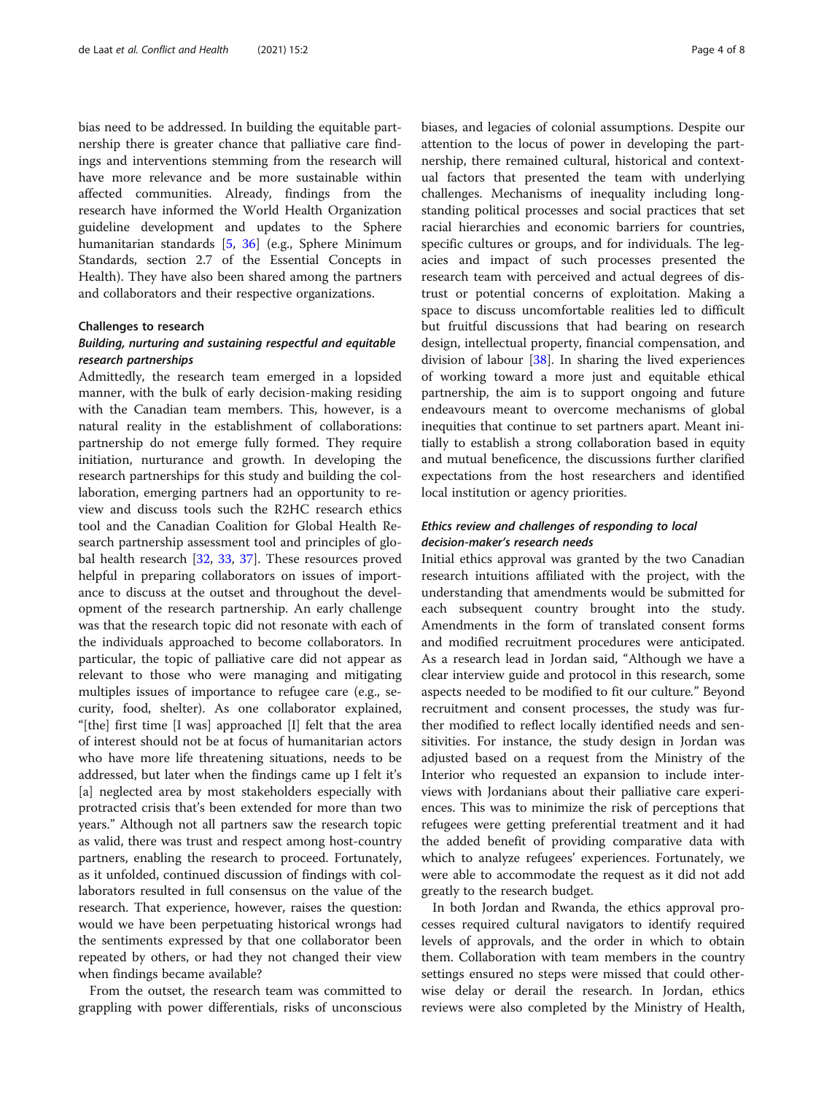bias need to be addressed. In building the equitable partnership there is greater chance that palliative care findings and interventions stemming from the research will have more relevance and be more sustainable within affected communities. Already, findings from the research have informed the World Health Organization guideline development and updates to the Sphere humanitarian standards [\[5](#page-7-0), [36\]](#page-7-0) (e.g., Sphere Minimum Standards, section 2.7 of the Essential Concepts in Health). They have also been shared among the partners and collaborators and their respective organizations.

#### Challenges to research

## Building, nurturing and sustaining respectful and equitable research partnerships

Admittedly, the research team emerged in a lopsided manner, with the bulk of early decision-making residing with the Canadian team members. This, however, is a natural reality in the establishment of collaborations: partnership do not emerge fully formed. They require initiation, nurturance and growth. In developing the research partnerships for this study and building the collaboration, emerging partners had an opportunity to review and discuss tools such the R2HC research ethics tool and the Canadian Coalition for Global Health Research partnership assessment tool and principles of global health research [\[32,](#page-7-0) [33,](#page-7-0) [37](#page-7-0)]. These resources proved helpful in preparing collaborators on issues of importance to discuss at the outset and throughout the development of the research partnership. An early challenge was that the research topic did not resonate with each of the individuals approached to become collaborators. In particular, the topic of palliative care did not appear as relevant to those who were managing and mitigating multiples issues of importance to refugee care (e.g., security, food, shelter). As one collaborator explained, "[the] first time [I was] approached [I] felt that the area of interest should not be at focus of humanitarian actors who have more life threatening situations, needs to be addressed, but later when the findings came up I felt it's [a] neglected area by most stakeholders especially with protracted crisis that's been extended for more than two years." Although not all partners saw the research topic as valid, there was trust and respect among host-country partners, enabling the research to proceed. Fortunately, as it unfolded, continued discussion of findings with collaborators resulted in full consensus on the value of the research. That experience, however, raises the question: would we have been perpetuating historical wrongs had the sentiments expressed by that one collaborator been repeated by others, or had they not changed their view when findings became available?

From the outset, the research team was committed to grappling with power differentials, risks of unconscious biases, and legacies of colonial assumptions. Despite our attention to the locus of power in developing the partnership, there remained cultural, historical and contextual factors that presented the team with underlying challenges. Mechanisms of inequality including longstanding political processes and social practices that set racial hierarchies and economic barriers for countries, specific cultures or groups, and for individuals. The legacies and impact of such processes presented the research team with perceived and actual degrees of distrust or potential concerns of exploitation. Making a space to discuss uncomfortable realities led to difficult but fruitful discussions that had bearing on research design, intellectual property, financial compensation, and division of labour  $[38]$  $[38]$  $[38]$ . In sharing the lived experiences of working toward a more just and equitable ethical partnership, the aim is to support ongoing and future endeavours meant to overcome mechanisms of global inequities that continue to set partners apart. Meant initially to establish a strong collaboration based in equity and mutual beneficence, the discussions further clarified expectations from the host researchers and identified local institution or agency priorities.

## Ethics review and challenges of responding to local decision-maker's research needs

Initial ethics approval was granted by the two Canadian research intuitions affiliated with the project, with the understanding that amendments would be submitted for each subsequent country brought into the study. Amendments in the form of translated consent forms and modified recruitment procedures were anticipated. As a research lead in Jordan said, "Although we have a clear interview guide and protocol in this research, some aspects needed to be modified to fit our culture." Beyond recruitment and consent processes, the study was further modified to reflect locally identified needs and sensitivities. For instance, the study design in Jordan was adjusted based on a request from the Ministry of the Interior who requested an expansion to include interviews with Jordanians about their palliative care experiences. This was to minimize the risk of perceptions that refugees were getting preferential treatment and it had the added benefit of providing comparative data with which to analyze refugees' experiences. Fortunately, we were able to accommodate the request as it did not add greatly to the research budget.

In both Jordan and Rwanda, the ethics approval processes required cultural navigators to identify required levels of approvals, and the order in which to obtain them. Collaboration with team members in the country settings ensured no steps were missed that could otherwise delay or derail the research. In Jordan, ethics reviews were also completed by the Ministry of Health,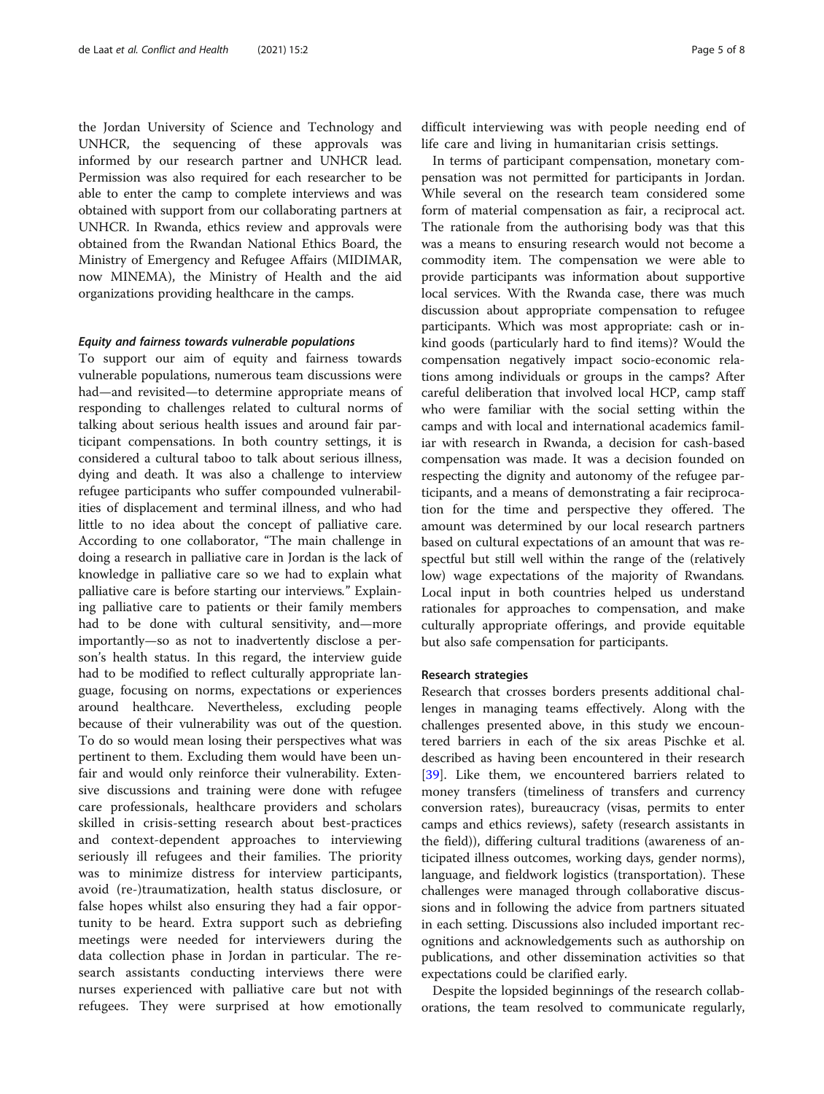the Jordan University of Science and Technology and UNHCR, the sequencing of these approvals was informed by our research partner and UNHCR lead. Permission was also required for each researcher to be able to enter the camp to complete interviews and was obtained with support from our collaborating partners at UNHCR. In Rwanda, ethics review and approvals were obtained from the Rwandan National Ethics Board, the Ministry of Emergency and Refugee Affairs (MIDIMAR, now MINEMA), the Ministry of Health and the aid organizations providing healthcare in the camps.

## Equity and fairness towards vulnerable populations

To support our aim of equity and fairness towards vulnerable populations, numerous team discussions were had—and revisited—to determine appropriate means of responding to challenges related to cultural norms of talking about serious health issues and around fair participant compensations. In both country settings, it is considered a cultural taboo to talk about serious illness, dying and death. It was also a challenge to interview refugee participants who suffer compounded vulnerabilities of displacement and terminal illness, and who had little to no idea about the concept of palliative care. According to one collaborator, "The main challenge in doing a research in palliative care in Jordan is the lack of knowledge in palliative care so we had to explain what palliative care is before starting our interviews." Explaining palliative care to patients or their family members had to be done with cultural sensitivity, and—more importantly—so as not to inadvertently disclose a person's health status. In this regard, the interview guide had to be modified to reflect culturally appropriate language, focusing on norms, expectations or experiences around healthcare. Nevertheless, excluding people because of their vulnerability was out of the question. To do so would mean losing their perspectives what was pertinent to them. Excluding them would have been unfair and would only reinforce their vulnerability. Extensive discussions and training were done with refugee care professionals, healthcare providers and scholars skilled in crisis-setting research about best-practices and context-dependent approaches to interviewing seriously ill refugees and their families. The priority was to minimize distress for interview participants, avoid (re-)traumatization, health status disclosure, or false hopes whilst also ensuring they had a fair opportunity to be heard. Extra support such as debriefing meetings were needed for interviewers during the data collection phase in Jordan in particular. The research assistants conducting interviews there were nurses experienced with palliative care but not with refugees. They were surprised at how emotionally

difficult interviewing was with people needing end of life care and living in humanitarian crisis settings.

In terms of participant compensation, monetary compensation was not permitted for participants in Jordan. While several on the research team considered some form of material compensation as fair, a reciprocal act. The rationale from the authorising body was that this was a means to ensuring research would not become a commodity item. The compensation we were able to provide participants was information about supportive local services. With the Rwanda case, there was much discussion about appropriate compensation to refugee participants. Which was most appropriate: cash or inkind goods (particularly hard to find items)? Would the compensation negatively impact socio-economic relations among individuals or groups in the camps? After careful deliberation that involved local HCP, camp staff who were familiar with the social setting within the camps and with local and international academics familiar with research in Rwanda, a decision for cash-based compensation was made. It was a decision founded on respecting the dignity and autonomy of the refugee participants, and a means of demonstrating a fair reciprocation for the time and perspective they offered. The amount was determined by our local research partners based on cultural expectations of an amount that was respectful but still well within the range of the (relatively low) wage expectations of the majority of Rwandans. Local input in both countries helped us understand rationales for approaches to compensation, and make culturally appropriate offerings, and provide equitable but also safe compensation for participants.

## Research strategies

Research that crosses borders presents additional challenges in managing teams effectively. Along with the challenges presented above, in this study we encountered barriers in each of the six areas Pischke et al. described as having been encountered in their research [[39\]](#page-7-0). Like them, we encountered barriers related to money transfers (timeliness of transfers and currency conversion rates), bureaucracy (visas, permits to enter camps and ethics reviews), safety (research assistants in the field)), differing cultural traditions (awareness of anticipated illness outcomes, working days, gender norms), language, and fieldwork logistics (transportation). These challenges were managed through collaborative discussions and in following the advice from partners situated in each setting. Discussions also included important recognitions and acknowledgements such as authorship on publications, and other dissemination activities so that expectations could be clarified early.

Despite the lopsided beginnings of the research collaborations, the team resolved to communicate regularly,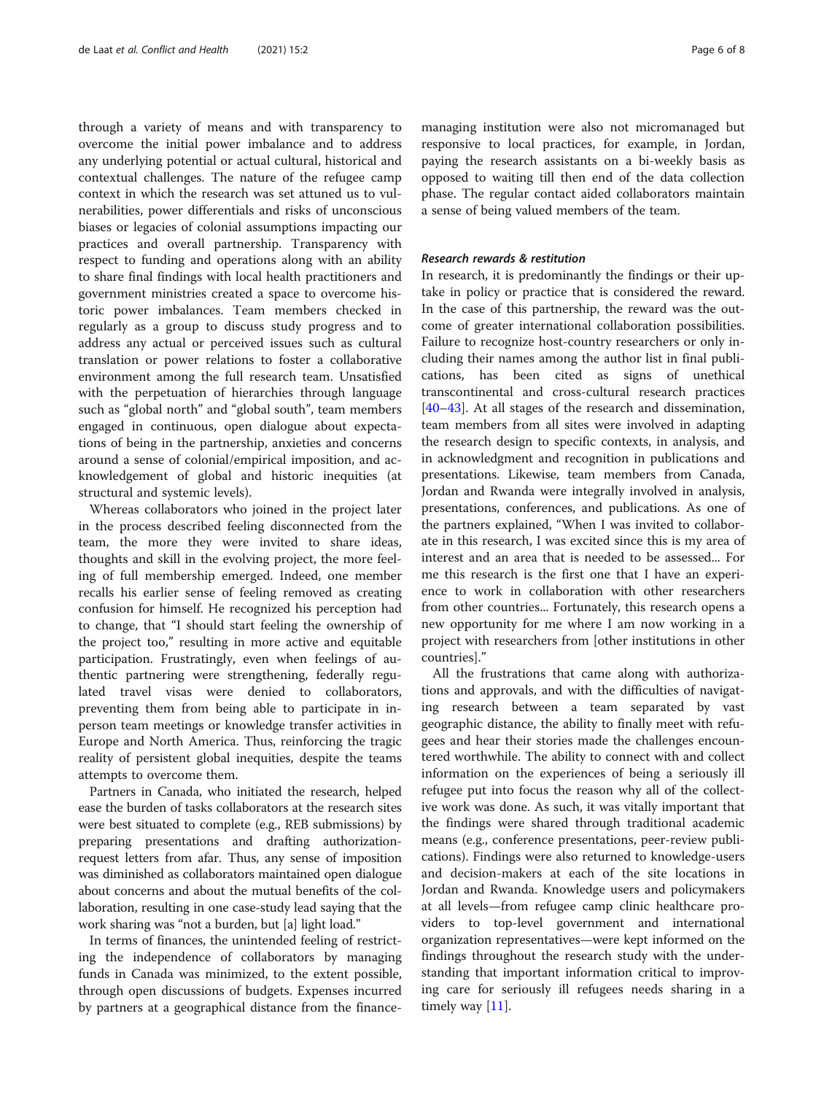through a variety of means and with transparency to overcome the initial power imbalance and to address any underlying potential or actual cultural, historical and contextual challenges. The nature of the refugee camp context in which the research was set attuned us to vulnerabilities, power differentials and risks of unconscious biases or legacies of colonial assumptions impacting our practices and overall partnership. Transparency with respect to funding and operations along with an ability to share final findings with local health practitioners and government ministries created a space to overcome historic power imbalances. Team members checked in regularly as a group to discuss study progress and to address any actual or perceived issues such as cultural translation or power relations to foster a collaborative environment among the full research team. Unsatisfied with the perpetuation of hierarchies through language such as "global north" and "global south", team members engaged in continuous, open dialogue about expectations of being in the partnership, anxieties and concerns around a sense of colonial/empirical imposition, and acknowledgement of global and historic inequities (at structural and systemic levels).

Whereas collaborators who joined in the project later in the process described feeling disconnected from the team, the more they were invited to share ideas, thoughts and skill in the evolving project, the more feeling of full membership emerged. Indeed, one member recalls his earlier sense of feeling removed as creating confusion for himself. He recognized his perception had to change, that "I should start feeling the ownership of the project too," resulting in more active and equitable participation. Frustratingly, even when feelings of authentic partnering were strengthening, federally regulated travel visas were denied to collaborators, preventing them from being able to participate in inperson team meetings or knowledge transfer activities in Europe and North America. Thus, reinforcing the tragic reality of persistent global inequities, despite the teams attempts to overcome them.

Partners in Canada, who initiated the research, helped ease the burden of tasks collaborators at the research sites were best situated to complete (e.g., REB submissions) by preparing presentations and drafting authorizationrequest letters from afar. Thus, any sense of imposition was diminished as collaborators maintained open dialogue about concerns and about the mutual benefits of the collaboration, resulting in one case-study lead saying that the work sharing was "not a burden, but [a] light load."

In terms of finances, the unintended feeling of restricting the independence of collaborators by managing funds in Canada was minimized, to the extent possible, through open discussions of budgets. Expenses incurred by partners at a geographical distance from the financemanaging institution were also not micromanaged but responsive to local practices, for example, in Jordan, paying the research assistants on a bi-weekly basis as opposed to waiting till then end of the data collection phase. The regular contact aided collaborators maintain a sense of being valued members of the team.

## Research rewards & restitution

In research, it is predominantly the findings or their uptake in policy or practice that is considered the reward. In the case of this partnership, the reward was the outcome of greater international collaboration possibilities. Failure to recognize host-country researchers or only including their names among the author list in final publications, has been cited as signs of unethical transcontinental and cross-cultural research practices [[40](#page-7-0)–[43](#page-7-0)]. At all stages of the research and dissemination, team members from all sites were involved in adapting the research design to specific contexts, in analysis, and in acknowledgment and recognition in publications and presentations. Likewise, team members from Canada, Jordan and Rwanda were integrally involved in analysis, presentations, conferences, and publications. As one of the partners explained, "When I was invited to collaborate in this research, I was excited since this is my area of interest and an area that is needed to be assessed... For me this research is the first one that I have an experience to work in collaboration with other researchers from other countries... Fortunately, this research opens a new opportunity for me where I am now working in a project with researchers from [other institutions in other countries]."

All the frustrations that came along with authorizations and approvals, and with the difficulties of navigating research between a team separated by vast geographic distance, the ability to finally meet with refugees and hear their stories made the challenges encountered worthwhile. The ability to connect with and collect information on the experiences of being a seriously ill refugee put into focus the reason why all of the collective work was done. As such, it was vitally important that the findings were shared through traditional academic means (e.g., conference presentations, peer-review publications). Findings were also returned to knowledge-users and decision-makers at each of the site locations in Jordan and Rwanda. Knowledge users and policymakers at all levels—from refugee camp clinic healthcare providers to top-level government and international organization representatives—were kept informed on the findings throughout the research study with the understanding that important information critical to improving care for seriously ill refugees needs sharing in a timely way [[11](#page-7-0)].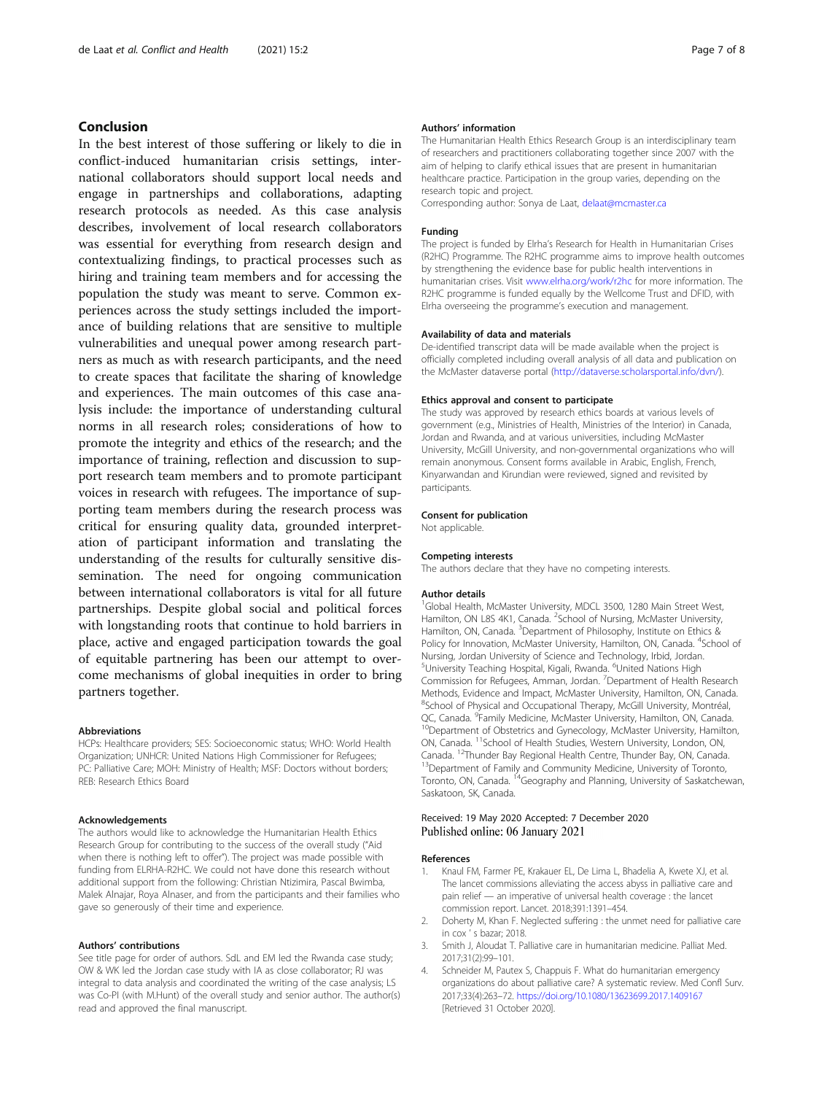## <span id="page-6-0"></span>Conclusion

In the best interest of those suffering or likely to die in conflict-induced humanitarian crisis settings, international collaborators should support local needs and engage in partnerships and collaborations, adapting research protocols as needed. As this case analysis describes, involvement of local research collaborators was essential for everything from research design and contextualizing findings, to practical processes such as hiring and training team members and for accessing the population the study was meant to serve. Common experiences across the study settings included the importance of building relations that are sensitive to multiple vulnerabilities and unequal power among research partners as much as with research participants, and the need to create spaces that facilitate the sharing of knowledge and experiences. The main outcomes of this case analysis include: the importance of understanding cultural norms in all research roles; considerations of how to promote the integrity and ethics of the research; and the importance of training, reflection and discussion to support research team members and to promote participant voices in research with refugees. The importance of supporting team members during the research process was critical for ensuring quality data, grounded interpretation of participant information and translating the understanding of the results for culturally sensitive dissemination. The need for ongoing communication between international collaborators is vital for all future partnerships. Despite global social and political forces with longstanding roots that continue to hold barriers in place, active and engaged participation towards the goal of equitable partnering has been our attempt to overcome mechanisms of global inequities in order to bring partners together.

#### Abbreviations

HCPs: Healthcare providers; SES: Socioeconomic status; WHO: World Health Organization; UNHCR: United Nations High Commissioner for Refugees; PC: Palliative Care; MOH: Ministry of Health; MSF: Doctors without borders; REB: Research Ethics Board

## Acknowledgements

The authors would like to acknowledge the Humanitarian Health Ethics Research Group for contributing to the success of the overall study ("Aid when there is nothing left to offer"). The project was made possible with funding from ELRHA-R2HC. We could not have done this research without additional support from the following: Christian Ntizimira, Pascal Bwimba, Malek Alnajar, Roya Alnaser, and from the participants and their families who gave so generously of their time and experience.

#### Authors' contributions

See title page for order of authors. SdL and EM led the Rwanda case study; OW & WK led the Jordan case study with IA as close collaborator; RJ was integral to data analysis and coordinated the writing of the case analysis; LS was Co-PI (with M.Hunt) of the overall study and senior author. The author(s) read and approved the final manuscript.

#### Authors' information

The Humanitarian Health Ethics Research Group is an interdisciplinary team of researchers and practitioners collaborating together since 2007 with the aim of helping to clarify ethical issues that are present in humanitarian healthcare practice. Participation in the group varies, depending on the research topic and project.

Corresponding author: Sonya de Laat, [delaat@mcmaster.ca](mailto:delaat@mcmaster.ca)

#### Funding

The project is funded by Elrha's Research for Health in Humanitarian Crises (R2HC) Programme. The R2HC programme aims to improve health outcomes by strengthening the evidence base for public health interventions in humanitarian crises. Visit [www.elrha.org/work/r2hc](http://www.elrha.org/work/r2hc) for more information. The R2HC programme is funded equally by the Wellcome Trust and DFID, with Elrha overseeing the programme's execution and management.

#### Availability of data and materials

De-identified transcript data will be made available when the project is officially completed including overall analysis of all data and publication on the McMaster dataverse portal ([http://dataverse.scholarsportal.info/dvn/\)](http://dataverse.scholarsportal.info/dvn/).

#### Ethics approval and consent to participate

The study was approved by research ethics boards at various levels of government (e.g., Ministries of Health, Ministries of the Interior) in Canada, Jordan and Rwanda, and at various universities, including McMaster University, McGill University, and non-governmental organizations who will remain anonymous. Consent forms available in Arabic, English, French, Kinyarwandan and Kirundian were reviewed, signed and revisited by participants.

#### Consent for publication

Not applicable.

#### Competing interests

The authors declare that they have no competing interests.

#### Author details

<sup>1</sup>Global Health, McMaster University, MDCL 3500, 1280 Main Street West, Hamilton, ON L8S 4K1, Canada. <sup>2</sup>School of Nursing, McMaster University, Hamilton, ON, Canada. <sup>3</sup>Department of Philosophy, Institute on Ethics & Policy for Innovation, McMaster University, Hamilton, ON, Canada. <sup>4</sup>School of Nursing, Jordan University of Science and Technology, Irbid, Jordan. <sup>5</sup>University Teaching Hospital, Kigali, Rwanda. <sup>6</sup>United Nations High Commission for Refugees, Amman, Jordan. <sup>7</sup> Department of Health Research Methods, Evidence and Impact, McMaster University, Hamilton, ON, Canada. <sup>8</sup>School of Physical and Occupational Therapy, McGill University, Montréal QC, Canada. <sup>9</sup>Family Medicine, McMaster University, Hamilton, ON, Canada.  $^{10}$ Department of Obstetrics and Gynecology, McMaster University, Hamilton, ON, Canada. <sup>11</sup>School of Health Studies, Western University, London, ON, Canada. <sup>12</sup>Thunder Bay Regional Health Centre, Thunder Bay, ON, Canada.<br><sup>13</sup>Department of Family and Community Medicine, University of Toronto, Toronto, ON, Canada. <sup>14</sup>Geography and Planning, University of Saskatchewan, Saskatoon, SK, Canada.

## Received: 19 May 2020 Accepted: 7 December 2020 Published online: 06 January 2021

#### References

- Knaul FM, Farmer PE, Krakauer EL, De Lima L, Bhadelia A, Kwete XJ, et al. The lancet commissions alleviating the access abyss in palliative care and pain relief — an imperative of universal health coverage : the lancet commission report. Lancet. 2018;391:1391–454.
- 2. Doherty M, Khan F. Neglected suffering : the unmet need for palliative care in cox ' s bazar; 2018.
- 3. Smith J, Aloudat T. Palliative care in humanitarian medicine. Palliat Med. 2017;31(2):99–101.
- 4. Schneider M, Pautex S, Chappuis F. What do humanitarian emergency organizations do about palliative care? A systematic review. Med Confl Surv. 2017;33(4):263–72. <https://doi.org/10.1080/13623699.2017.1409167> [Retrieved 31 October 2020].